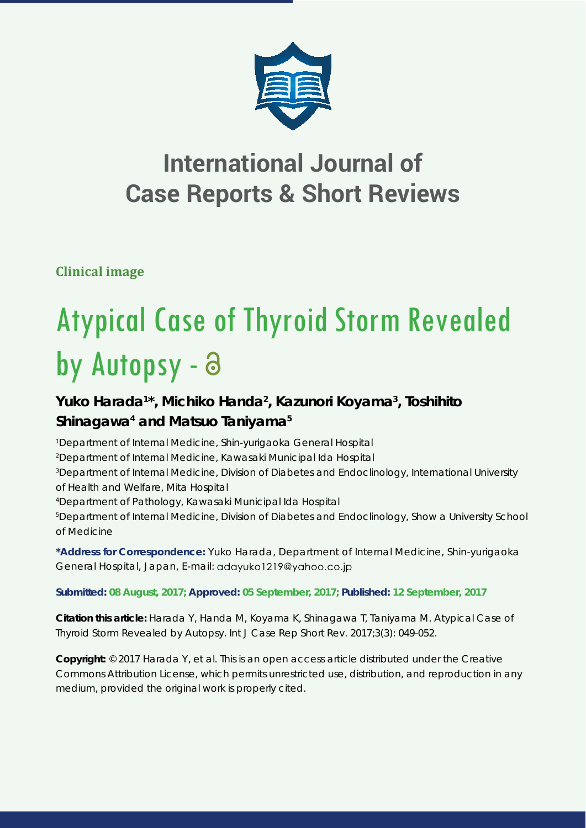

## **International Journal of Case Reports & Short Reviews**

**Clinical image**

# Atypical Case of Thyroid Storm Revealed by Autopsy - a

### Yuko Harada<sup>1\*</sup>, Michiko Handa<sup>2</sup>, Kazunori Koyama<sup>3</sup>, Toshihito Shinagawa<sup>4</sup> and Matsuo Taniyama<sup>5</sup>

 *Department of Internal Medicine, Shin-yurigaoka General Hospital Department of Internal Medicine, Kawasaki Municipal Ida Hospital Department of Internal Medicine, Division of Diabetes and Endoclinology, International University of Health and Welfare, Mita Hospital Department of Pathology, Kawasaki Municipal Ida Hospital*

*5 Department of Internal Medicine, Division of Diabetes and Endoclinology, Show a University School of Medicine*

**\*Address for Correspondence:** Yuko Harada, Department of Internal Medicine, Shin-yurigaoka General Hospital, Japan, E-mail:

**Submitted: 08 August, 2017; Approved: 05 September, 2017; Published: 12 September, 2017**

**Citation this article:** Harada Y, Handa M, Koyama K, Shinagawa T, Taniyama M. Atypical Case of Thyroid Storm Revealed by Autopsy. Int J Case Rep Short Rev. 2017;3(3): 049-052.

**Copyright:** © 2017 Harada Y, et al. This is an open access article distributed under the Creative Commons Attribution License, which permits unrestricted use, distribution, and reproduction in any medium, provided the original work is properly cited.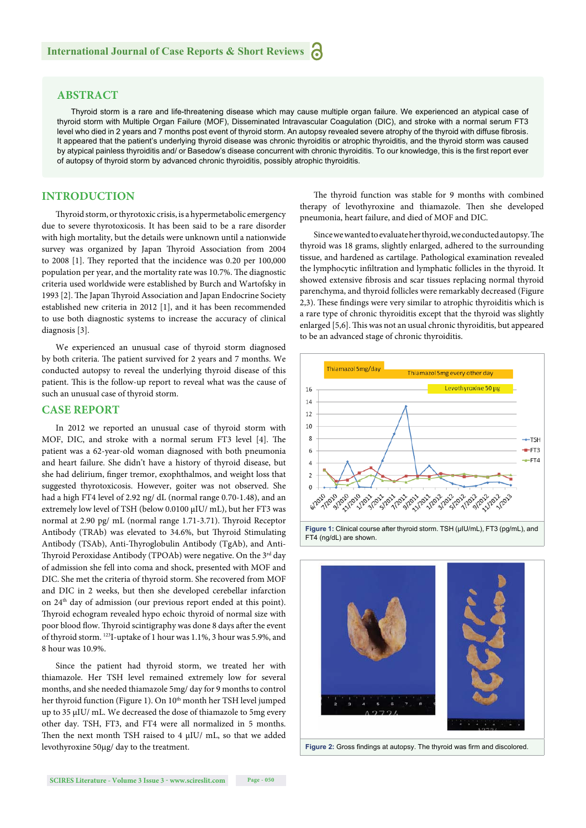#### **ABSTRACT**

Thyroid storm is a rare and life-threatening disease which may cause multiple organ failure. We experienced an atypical case of thyroid storm with Multiple Organ Failure (MOF), Disseminated Intravascular Coagulation (DIC), and stroke with a normal serum FT3 level who died in 2 years and 7 months post event of thyroid storm. An autopsy revealed severe atrophy of the thyroid with diffuse fibrosis. It appeared that the patient's underlying thyroid disease was chronic thyroiditis or atrophic thyroiditis, and the thyroid storm was caused by atypical painless thyroiditis and/ or Basedow's disease concurrent with chronic thyroiditis. To our knowledge, this is the first report ever of autopsy of thyroid storm by advanced chronic thyroiditis, possibly atrophic thyroiditis.

#### **INTRODUCTION**

Th yroid storm, or thyrotoxic crisis, is a hypermetabolic emergency due to severe thyrotoxicosis. It has been said to be a rare disorder with high mortality, but the details were unknown until a nationwide survey was organized by Japan Thyroid Association from 2004 to 2008 [1]. They reported that the incidence was 0.20 per 100,000 population per year, and the mortality rate was 10.7%. The diagnostic criteria used worldwide were established by Burch and Wartofsky in 1993 [2]. The Japan Thyroid Association and Japan Endocrine Society established new criteria in 2012 [1], and it has been recommended to use both diagnostic systems to increase the accuracy of clinical diagnosis [3].

We experienced an unusual case of thyroid storm diagnosed by both criteria. The patient survived for 2 years and 7 months. We conducted autopsy to reveal the underlying thyroid disease of this patient. This is the follow-up report to reveal what was the cause of such an unusual case of thyroid storm.

#### **CASE REPORT**

In 2012 we reported an unusual case of thyroid storm with MOF, DIC, and stroke with a normal serum FT3 level [4]. The patient was a 62-year-old woman diagnosed with both pneumonia and heart failure. She didn't have a history of thyroid disease, but she had delirium, finger tremor, exophthalmos, and weight loss that suggested thyrotoxicosis. However, goiter was not observed. She had a high FT4 level of 2.92 ng/ dL (normal range 0.70-1.48), and an extremely low level of TSH (below 0.0100 μIU/ mL), but her FT3 was normal at 2.90 pg/ mL (normal range 1.71-3.71). Thyroid Receptor Antibody (TRAb) was elevated to 34.6%, but Thyroid Stimulating Antibody (TSAb), Anti-Thyroglobulin Antibody (TgAb), and Anti-Thyroid Peroxidase Antibody (TPOAb) were negative. On the 3rd day of admission she fell into coma and shock, presented with MOF and DIC. She met the criteria of thyroid storm. She recovered from MOF and DIC in 2 weeks, but then she developed cerebellar infarction on 24th day of admission (our previous report ended at this point). Thyroid echogram revealed hypo echoic thyroid of normal size with poor blood flow. Thyroid scintigraphy was done 8 days after the event of thyroid storm. 123I-uptake of 1 hour was 1.1%, 3 hour was 5.9%, and 8 hour was 10.9%.

Since the patient had thyroid storm, we treated her with thiamazole. Her TSH level remained extremely low for several months, and she needed thiamazole 5mg/ day for 9 months to control her thyroid function (Figure 1). On 10<sup>th</sup> month her TSH level jumped up to 35 μIU/ mL. We decreased the dose of thiamazole to 5mg every other day. TSH, FT3, and FT4 were all normalized in 5 months. Then the next month TSH raised to 4  $\mu$ IU/ mL, so that we added levothyroxine 50µg/ day to the treatment.

The thyroid function was stable for 9 months with combined therapy of levothyroxine and thiamazole. Then she developed pneumonia, heart failure, and died of MOF and DIC.

Since we wanted to evaluate her thyroid, we conducted autopsy. The thyroid was 18 grams, slightly enlarged, adhered to the surrounding tissue, and hardened as cartilage. Pathological examination revealed the lymphocytic infiltration and lymphatic follicles in the thyroid. It showed extensive fibrosis and scar tissues replacing normal thyroid parenchyma, and thyroid follicles were remarkably decreased (Figure 2,3). These findings were very similar to atrophic thyroiditis which is a rare type of chronic thyroiditis except that the thyroid was slightly enlarged [5,6]. This was not an usual chronic thyroiditis, but appeared to be an advanced stage of chronic thyroiditis.





Figure 2: Gross findings at autopsy. The thyroid was firm and discolored.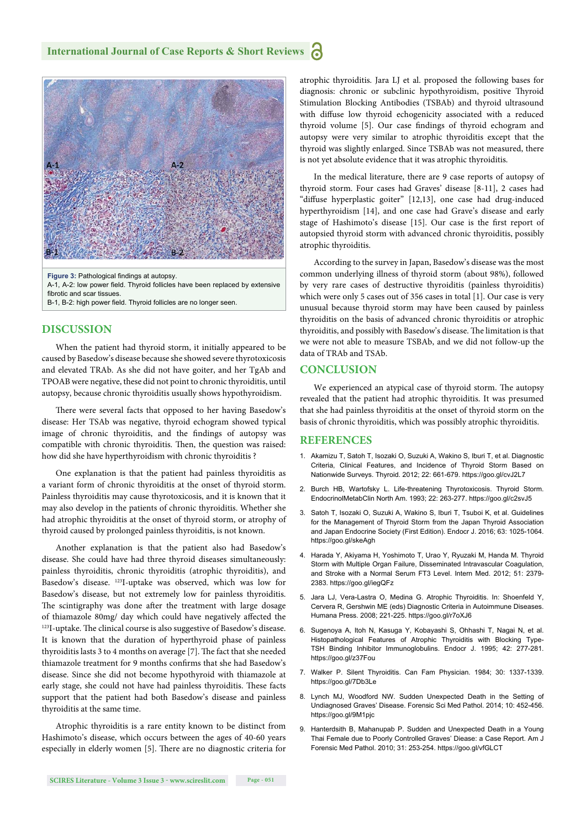

A-1, A-2: low power field. Thyroid follicles have been replaced by extensive fibrotic and scar tissues.

B-1, B-2: high power field. Thyroid follicles are no longer seen.

#### **DISCUSSION**

When the patient had thyroid storm, it initially appeared to be caused by Basedow's disease because she showed severe thyrotoxicosis and elevated TRAb. As she did not have goiter, and her TgAb and TPOAB were negative, these did not point to chronic thyroiditis, until autopsy, because chronic thyroiditis usually shows hypothyroidism.

There were several facts that opposed to her having Basedow's disease: Her TSAb was negative, thyroid echogram showed typical image of chronic thyroiditis, and the findings of autopsy was compatible with chronic thyroiditis. Then, the question was raised: how did she have hyperthyroidism with chronic thyroiditis ?

One explanation is that the patient had painless thyroiditis as a variant form of chronic thyroiditis at the onset of thyroid storm. Painless thyroiditis may cause thyrotoxicosis, and it is known that it may also develop in the patients of chronic thyroiditis. Whether she had atrophic thyroiditis at the onset of thyroid storm, or atrophy of thyroid caused by prolonged painless thyroiditis, is not known.

Another explanation is that the patient also had Basedow's disease. She could have had three thyroid diseases simultaneously: painless thyroiditis, chronic thyroiditis (atrophic thyroiditis), and Basedow's disease. 123I-uptake was observed, which was low for Basedow's disease, but not extremely low for painless thyroiditis. The scintigraphy was done after the treatment with large dosage of thiamazole 80mg/ day which could have negatively affected the <sup>123</sup>I-uptake. The clinical course is also suggestive of Basedow's disease. It is known that the duration of hyperthyroid phase of painless thyroiditis lasts 3 to 4 months on average [7]. The fact that she needed thiamazole treatment for 9 months confirms that she had Basedow's disease. Since she did not become hypothyroid with thiamazole at early stage, she could not have had painless thyroiditis. These facts support that the patient had both Basedow's disease and painless thyroiditis at the same time.

Atrophic thyroiditis is a rare entity known to be distinct from Hashimoto's disease, which occurs between the ages of 40-60 years especially in elderly women [5]. There are no diagnostic criteria for atrophic thyroiditis. Jara LJ et al. proposed the following bases for diagnosis: chronic or subclinic hypothyroidism, positive Thyroid Stimulation Blocking Antibodies (TSBAb) and thyroid ultrasound with diffuse low thyroid echogenicity associated with a reduced thyroid volume [5]. Our case findings of thyroid echogram and autopsy were very similar to atrophic thyroiditis except that the thyroid was slightly enlarged. Since TSBAb was not measured, there is not yet absolute evidence that it was atrophic thyroiditis.

In the medical literature, there are 9 case reports of autopsy of thyroid storm. Four cases had Graves' disease [8-11], 2 cases had "diffuse hyperplastic goiter" [12,13], one case had drug-induced hyperthyroidism [14], and one case had Grave's disease and early stage of Hashimoto's disease [15]. Our case is the first report of autopsied thyroid storm with advanced chronic thyroiditis, possibly atrophic thyroiditis.

According to the survey in Japan, Basedow's disease was the most common underlying illness of thyroid storm (about 98%), followed by very rare cases of destructive thyroiditis (painless thyroiditis) which were only 5 cases out of 356 cases in total [1]. Our case is very unusual because thyroid storm may have been caused by painless thyroiditis on the basis of advanced chronic thyroiditis or atrophic thyroiditis, and possibly with Basedow's disease. The limitation is that we were not able to measure TSBAb, and we did not follow-up the data of TRAb and TSAb.

#### **CONCLUSION**

We experienced an atypical case of thyroid storm. The autopsy revealed that the patient had atrophic thyroiditis. It was presumed that she had painless thyroiditis at the onset of thyroid storm on the basis of chronic thyroiditis, which was possibly atrophic thyroiditis.

#### **REFERENCES**

- 1. Akamizu T, Satoh T, Isozaki O, Suzuki A, Wakino S, Iburi T, et al. Diagnostic Criteria, Clinical Features, and Incidence of Thyroid Storm Based on Nationwide Surveys. Thyroid. 2012; 22: 661-679. https://goo.gl/cvJ2L7
- 2. Burch HB, Wartofsky L. Life-threatening Thyrotoxicosis. Thyroid Storm. EndocrinolMetabClin North Am. 1993; 22: 263-277. https://goo.gl/c2svJ5
- 3. Satoh T, Isozaki O, Suzuki A, Wakino S, Iburi T, Tsuboi K, et al. Guidelines for the Management of Thyroid Storm from the Japan Thyroid Association and Japan Endocrine Society (First Edition). Endocr J. 2016; 63: 1025-1064. https://goo.gl/skeAgh
- 4. Harada Y, Akiyama H, Yoshimoto T, Urao Y, Ryuzaki M, Handa M. Thyroid Storm with Multiple Organ Failure, Disseminated Intravascular Coagulation, and Stroke with a Normal Serum FT3 Level. Intern Med. 2012; 51: 2379- 2383. https://goo.gl/iegQFz
- 5. Jara LJ, Vera-Lastra O, Medina G. Atrophic Thyroiditis. In: Shoenfeld Y, Cervera R, Gershwin ME (eds) Diagnostic Criteria in Autoimmune Diseases. Humana Press. 2008; 221-225. https://goo.gl/r7oXJ6
- 6. Sugenoya A, Itoh N, Kasuga Y, Kobayashi S, Ohhashi T, Nagai N, et al. Histopathological Features of Atrophic Thyroiditis with Blocking Type-TSH Binding Inhibitor Immunoglobulins. Endocr J. 1995; 42: 277-281. https://goo.gl/z37Fou
- 7. Walker P. Silent Thyroiditis. Can Fam Physician. 1984; 30: 1337-1339. https://goo.gl/7Db3Le
- 8. Lynch MJ, Woodford NW. Sudden Unexpected Death in the Setting of Undiagnosed Graves' Disease. Forensic Sci Med Pathol. 2014; 10: 452-456. https://goo.gl/9M1pjc
- 9. Hanterdsith B, Mahanupab P. Sudden and Unexpected Death in a Young Thai Female due to Poorly Controlled Graves' Diease: a Case Report. Am J Forensic Med Pathol. 2010; 31: 253-254. https://goo.gl/vfGLCT